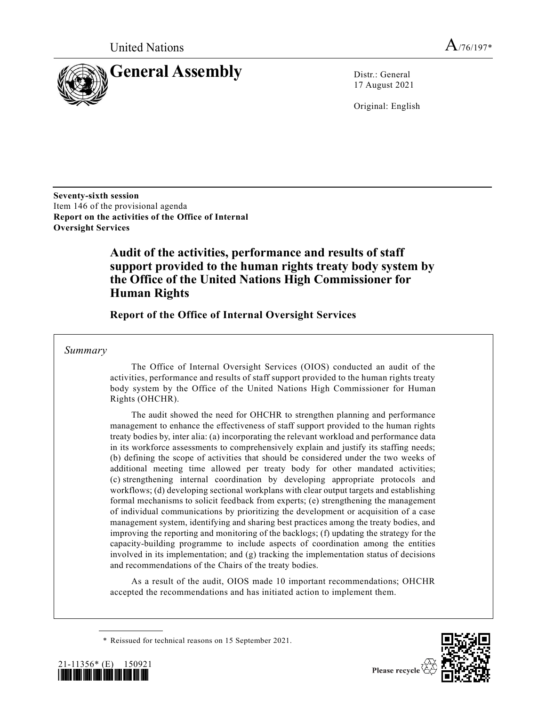

17 August 2021

Original: English

**Seventy-sixth session**  Item 146 of the provisional agenda **Report on the activities of the Office of Internal Oversight Services**

# **Audit of the activities, performance and results of staff support provided to the human rights treaty body system by the Office of the United Nations High Commissioner for Human Rights**

**Report of the Office of Internal Oversight Services**

### *Summary*

The Office of Internal Oversight Services (OIOS) conducted an audit of the activities, performance and results of staff support provided to the human rights treaty body system by the Office of the United Nations High Commissioner for Human Rights (OHCHR).

The audit showed the need for OHCHR to strengthen planning and performance management to enhance the effectiveness of staff support provided to the human rights treaty bodies by, inter alia: (a) incorporating the relevant workload and performance data in its workforce assessments to comprehensively explain and justify its staffing needs; (b) defining the scope of activities that should be considered under the two weeks of additional meeting time allowed per treaty body for other mandated activities; (c) strengthening internal coordination by developing appropriate protocols and workflows; (d) developing sectional workplans with clear output targets and establishing formal mechanisms to solicit feedback from experts; (e) strengthening the management of individual communications by prioritizing the development or acquisition of a case management system, identifying and sharing best practices among the treaty bodies, and improving the reporting and monitoring of the backlogs; (f) updating the strategy for the capacity-building programme to include aspects of coordination among the entities involved in its implementation; and (g) tracking the implementation status of decisions and recommendations of the Chairs of the treaty bodies.

As a result of the audit, OIOS made 10 important recommendations; OHCHR accepted the recommendations and has initiated action to implement them.

\* Reissued for technical reasons on 15 September 2021.



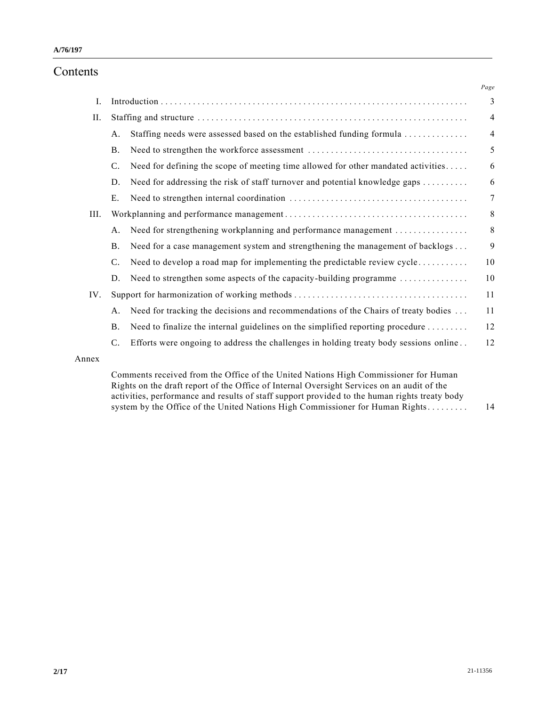# Contents

|       |                |                                                                                       | Page           |  |  |  |
|-------|----------------|---------------------------------------------------------------------------------------|----------------|--|--|--|
| I.    |                |                                                                                       | 3              |  |  |  |
| II.   |                |                                                                                       |                |  |  |  |
|       | Α.             | Staffing needs were assessed based on the established funding formula                 | $\overline{4}$ |  |  |  |
|       | <b>B.</b>      |                                                                                       | 5              |  |  |  |
|       | $\mathbf{C}$ . | Need for defining the scope of meeting time allowed for other mandated activities     | 6              |  |  |  |
|       | D.             | Need for addressing the risk of staff turnover and potential knowledge gaps           | 6              |  |  |  |
|       | E.             |                                                                                       | $\overline{7}$ |  |  |  |
| III.  |                |                                                                                       | 8              |  |  |  |
|       | Α.             | Need for strengthening workplanning and performance management                        | 8              |  |  |  |
|       | <b>B.</b>      | Need for a case management system and strengthening the management of backlogs        | 9              |  |  |  |
|       | $\mathbf{C}$ . | Need to develop a road map for implementing the predictable review cycle              | 10             |  |  |  |
|       | D.             | Need to strengthen some aspects of the capacity-building programme                    | 10             |  |  |  |
| IV.   |                |                                                                                       | 11             |  |  |  |
|       | Α.             | Need for tracking the decisions and recommendations of the Chairs of treaty bodies    | 11             |  |  |  |
|       | <b>B.</b>      | Need to finalize the internal guidelines on the simplified reporting procedure        | 12             |  |  |  |
|       | $\mathbf{C}$ . | Efforts were ongoing to address the challenges in holding treaty body sessions online | 12             |  |  |  |
| Annex |                |                                                                                       |                |  |  |  |
|       |                | Comments received from the Office of the United Nations High Commissioner for Human   |                |  |  |  |

Rights on the draft report of the Office of Internal Oversight Services on an audit of the activities, performance and results of staff support provided to the human rights treaty body system by the Office of the United Nations High Commissioner for Human Rights.......... 14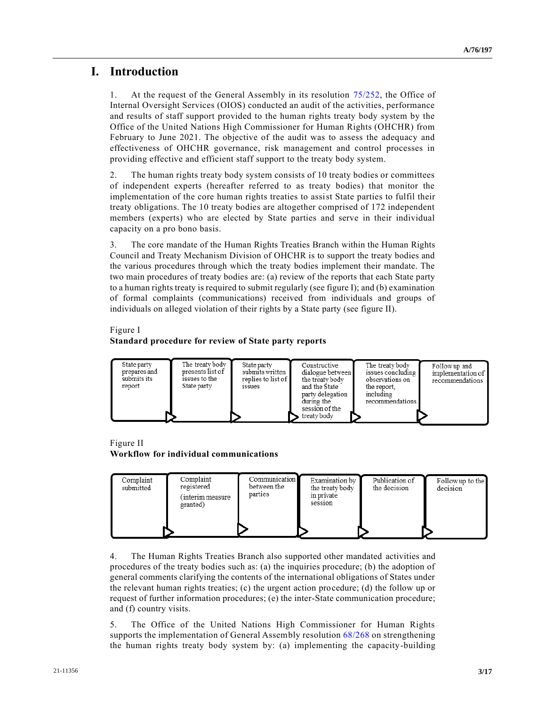# **I. Introduction**

1. At the request of the General Assembly in its resolution [75/252,](https://undocs.org/en/A/RES/75/252) the Office of Internal Oversight Services (OIOS) conducted an audit of the activities, performance and results of staff support provided to the human rights treaty body system by the Office of the United Nations High Commissioner for Human Rights (OHCHR) from February to June 2021. The objective of the audit was to assess the adequacy and effectiveness of OHCHR governance, risk management and control processes in providing effective and efficient staff support to the treaty body system.

2. The human rights treaty body system consists of 10 treaty bodies or committees of independent experts (hereafter referred to as treaty bodies) that monitor the implementation of the core human rights treaties to assist State parties to fulfil their treaty obligations. The 10 treaty bodies are altogether comprised of 172 independent members (experts) who are elected by State parties and serve in their individual capacity on a pro bono basis.

3. The core mandate of the Human Rights Treaties Branch within the Human Rights Council and Treaty Mechanism Division of OHCHR is to support the treaty bodies and the various procedures through which the treaty bodies implement their mandate. The two main procedures of treaty bodies are: (a) review of the reports that each State party to a human rights treaty is required to submit regularly (see figure I); and (b) examination of formal complaints (communications) received from individuals and groups of individuals on alleged violation of their rights by a State party (see figure II).

#### Figure I

#### **Standard procedure for review of State party reports**



#### Figure II **Workflow for individual communications**



4. The Human Rights Treaties Branch also supported other mandated activities and procedures of the treaty bodies such as: (a) the inquiries procedure; (b) the adoption of general comments clarifying the contents of the international obligations of States under the relevant human rights treaties; (c) the urgent action procedure; (d) the follow up or request of further information procedures; (e) the inter-State communication procedure; and (f) country visits.

5. The Office of the United Nations High Commissioner for Human Rights supports the implementation of General Assembly resolution [68/268](https://undocs.org/en/A/RES/68/268) on strengthening the human rights treaty body system by: (a) implementing the capacity-building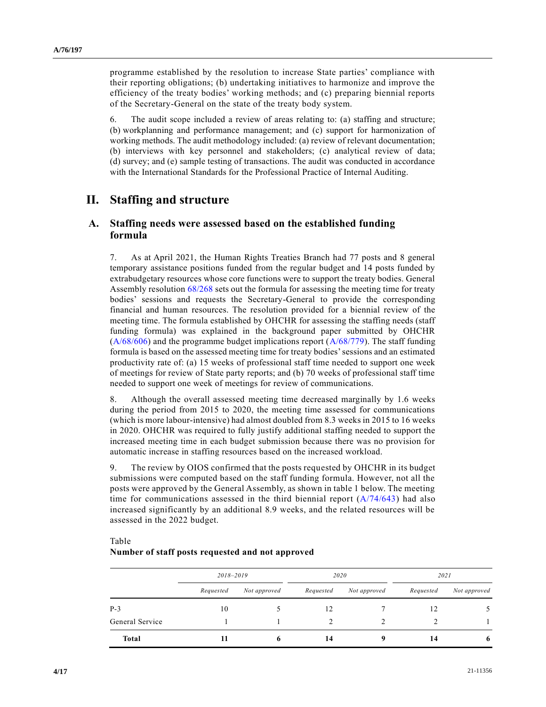programme established by the resolution to increase State parties' compliance with their reporting obligations; (b) undertaking initiatives to harmonize and improve the efficiency of the treaty bodies' working methods; and (c) preparing biennial reports of the Secretary-General on the state of the treaty body system.

6. The audit scope included a review of areas relating to: (a) staffing and structure; (b) workplanning and performance management; and (c) support for harmonization of working methods. The audit methodology included: (a) review of relevant documentation; (b) interviews with key personnel and stakeholders; (c) analytical review of data; (d) survey; and (e) sample testing of transactions. The audit was conducted in accordance with the International Standards for the Professional Practice of Internal Auditing.

# **II. Staffing and structure**

### **A. Staffing needs were assessed based on the established funding formula**

7. As at April 2021, the Human Rights Treaties Branch had 77 posts and 8 general temporary assistance positions funded from the regular budget and 14 posts funded by extrabudgetary resources whose core functions were to support the treaty bodies. General Assembly resolution [68/268](https://undocs.org/en/A/RES/68/268) sets out the formula for assessing the meeting time for treaty bodies' sessions and requests the Secretary-General to provide the corresponding financial and human resources. The resolution provided for a biennial review of the meeting time. The formula established by OHCHR for assessing the staffing needs (staff funding formula) was explained in the background paper submitted by OHCHR  $(A/68/606)$  and the programme budget implications report  $(A/68/779)$ . The staff funding formula is based on the assessed meeting time for treaty bodies' sessions and an estimated productivity rate of: (a) 15 weeks of professional staff time needed to support one week of meetings for review of State party reports; and (b) 70 weeks of professional staff time needed to support one week of meetings for review of communications.

8. Although the overall assessed meeting time decreased marginally by 1.6 weeks during the period from 2015 to 2020, the meeting time assessed for communications (which is more labour-intensive) had almost doubled from 8.3 weeks in 2015 to 16 weeks in 2020. OHCHR was required to fully justify additional staffing needed to support the increased meeting time in each budget submission because there was no provision for automatic increase in staffing resources based on the increased workload.

9. The review by OIOS confirmed that the posts requested by OHCHR in its budget submissions were computed based on the staff funding formula. However, not all the posts were approved by the General Assembly, as shown in table 1 below. The meeting time for communications assessed in the third biennial report  $(A/74/643)$  had also increased significantly by an additional 8.9 weeks, and the related resources will be assessed in the 2022 budget.

#### Table

#### **Number of staff posts requested and not approved**

|                 | $2018 - 2019$ |              |           | 2020         | 2021      |              |  |
|-----------------|---------------|--------------|-----------|--------------|-----------|--------------|--|
|                 | Requested     | Not approved | Requested | Not approved | Requested | Not approved |  |
| $P-3$           | 10            |              | 12        |              | 12        |              |  |
| General Service |               |              |           |              |           |              |  |
| <b>Total</b>    | 11            |              | 14        |              | 14        | -6           |  |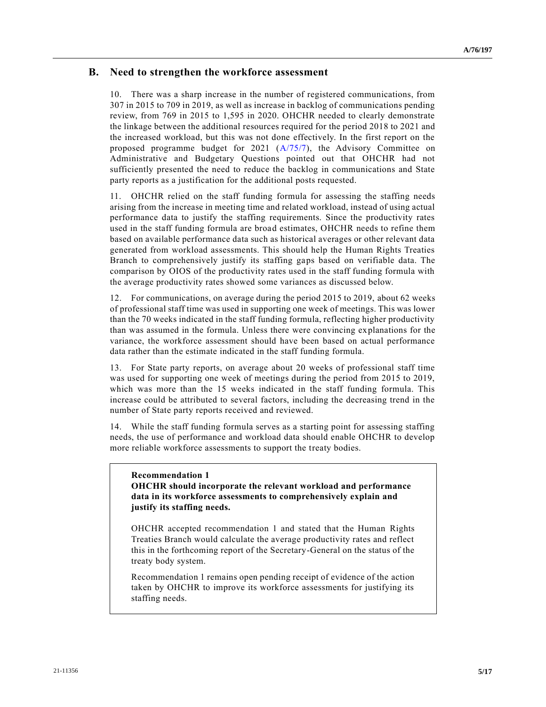### **B. Need to strengthen the workforce assessment**

10. There was a sharp increase in the number of registered communications, from 307 in 2015 to 709 in 2019, as well as increase in backlog of communications pending review, from 769 in 2015 to 1,595 in 2020. OHCHR needed to clearly demonstrate the linkage between the additional resources required for the period 2018 to 2021 and the increased workload, but this was not done effectively. In the first report on the proposed programme budget for 2021 [\(A/75/7\)](https://undocs.org/en/A/75/7), the Advisory Committee on Administrative and Budgetary Questions pointed out that OHCHR had not sufficiently presented the need to reduce the backlog in communications and State party reports as a justification for the additional posts requested.

11. OHCHR relied on the staff funding formula for assessing the staffing needs arising from the increase in meeting time and related workload, instead of using actual performance data to justify the staffing requirements. Since the productivity rates used in the staff funding formula are broad estimates, OHCHR needs to refine them based on available performance data such as historical averages or other relevant data generated from workload assessments. This should help the Human Rights Treaties Branch to comprehensively justify its staffing gaps based on verifiable data. The comparison by OIOS of the productivity rates used in the staff funding formula with the average productivity rates showed some variances as discussed below.

12. For communications, on average during the period 2015 to 2019, about 62 weeks of professional staff time was used in supporting one week of meetings. This was lower than the 70 weeks indicated in the staff funding formula, reflecting higher productivity than was assumed in the formula. Unless there were convincing explanations for the variance, the workforce assessment should have been based on actual performance data rather than the estimate indicated in the staff funding formula.

13. For State party reports, on average about 20 weeks of professional staff time was used for supporting one week of meetings during the period from 2015 to 2019, which was more than the 15 weeks indicated in the staff funding formula. This increase could be attributed to several factors, including the decreasing trend in the number of State party reports received and reviewed.

14. While the staff funding formula serves as a starting point for assessing staffing needs, the use of performance and workload data should enable OHCHR to develop more reliable workforce assessments to support the treaty bodies.

#### **Recommendation 1**

**OHCHR should incorporate the relevant workload and performance data in its workforce assessments to comprehensively explain and justify its staffing needs.**

OHCHR accepted recommendation 1 and stated that the Human Rights Treaties Branch would calculate the average productivity rates and reflect this in the forthcoming report of the Secretary-General on the status of the treaty body system.

Recommendation 1 remains open pending receipt of evidence of the action taken by OHCHR to improve its workforce assessments for justifying its staffing needs.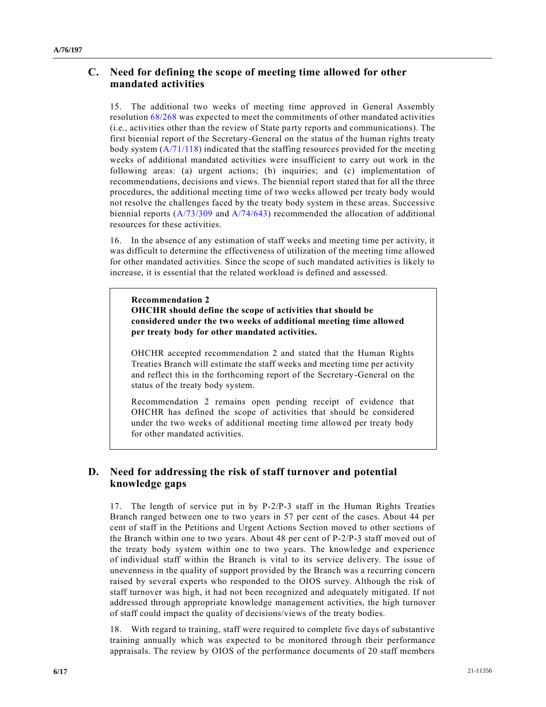### **C. Need for defining the scope of meeting time allowed for other mandated activities**

15. The additional two weeks of meeting time approved in General Assembly resolution [68/268](https://undocs.org/en/A/RES/68/268) was expected to meet the commitments of other mandated activities (i.e., activities other than the review of State party reports and communications). The first biennial report of the Secretary-General on the status of the human rights treaty body system  $(A/71/118)$  indicated that the staffing resources provided for the meeting weeks of additional mandated activities were insufficient to carry out work in the following areas: (a) urgent actions; (b) inquiries; and (c) implementation of recommendations, decisions and views. The biennial report stated that for all the three procedures, the additional meeting time of two weeks allowed per treaty body would not resolve the challenges faced by the treaty body system in these areas. Successive biennial reports ( $A/73/309$  and  $A/74/643$ ) recommended the allocation of additional resources for these activities.

16. In the absence of any estimation of staff weeks and meeting time per activity, it was difficult to determine the effectiveness of utilization of the meeting time allowed for other mandated activities. Since the scope of such mandated activities is likely to increase, it is essential that the related workload is defined and assessed.

**Recommendation 2 OHCHR should define the scope of activities that should be considered under the two weeks of additional meeting time allowed per treaty body for other mandated activities.**

OHCHR accepted recommendation 2 and stated that the Human Rights Treaties Branch will estimate the staff weeks and meeting time per activity and reflect this in the forthcoming report of the Secretary-General on the status of the treaty body system.

Recommendation 2 remains open pending receipt of evidence that OHCHR has defined the scope of activities that should be considered under the two weeks of additional meeting time allowed per treaty body for other mandated activities.

## **D. Need for addressing the risk of staff turnover and potential knowledge gaps**

17. The length of service put in by P-2/P-3 staff in the Human Rights Treaties Branch ranged between one to two years in 57 per cent of the cases. About 44 per cent of staff in the Petitions and Urgent Actions Section moved to other sections of the Branch within one to two years. About 48 per cent of P-2/P-3 staff moved out of the treaty body system within one to two years. The knowledge and experience of individual staff within the Branch is vital to its service delivery. The issue of unevenness in the quality of support provided by the Branch was a recurring concern raised by several experts who responded to the OIOS survey. Although the risk of staff turnover was high, it had not been recognized and adequately mitigated. If not addressed through appropriate knowledge management activities, the high turnover of staff could impact the quality of decisions/views of the treaty bodies.

18. With regard to training, staff were required to complete five days of substantive training annually which was expected to be monitored through their performance appraisals. The review by OIOS of the performance documents of 20 staff members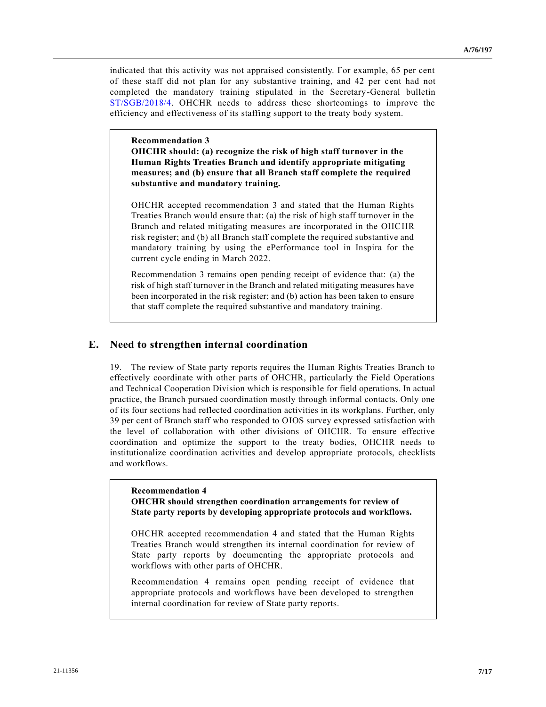indicated that this activity was not appraised consistently. For example, 65 per cent of these staff did not plan for any substantive training, and 42 per c ent had not completed the mandatory training stipulated in the Secretary-General bulletin [ST/SGB/2018/4.](https://undocs.org/en/ST/SGB/2018/4) OHCHR needs to address these shortcomings to improve the efficiency and effectiveness of its staffing support to the treaty body system.

#### **Recommendation 3**

**OHCHR should: (a) recognize the risk of high staff turnover in the Human Rights Treaties Branch and identify appropriate mitigating measures; and (b) ensure that all Branch staff complete the required substantive and mandatory training.**

OHCHR accepted recommendation 3 and stated that the Human Rights Treaties Branch would ensure that: (a) the risk of high staff turnover in the Branch and related mitigating measures are incorporated in the OHCHR risk register; and (b) all Branch staff complete the required substantive and mandatory training by using the ePerformance tool in Inspira for the current cycle ending in March 2022.

Recommendation 3 remains open pending receipt of evidence that: (a) the risk of high staff turnover in the Branch and related mitigating measures have been incorporated in the risk register; and (b) action has been taken to ensure that staff complete the required substantive and mandatory training.

### **E. Need to strengthen internal coordination**

19. The review of State party reports requires the Human Rights Treaties Branch to effectively coordinate with other parts of OHCHR, particularly the Field Operations and Technical Cooperation Division which is responsible for field operations. In actual practice, the Branch pursued coordination mostly through informal contacts. Only one of its four sections had reflected coordination activities in its workplans. Further, only 39 per cent of Branch staff who responded to OIOS survey expressed satisfaction with the level of collaboration with other divisions of OHCHR. To ensure effective coordination and optimize the support to the treaty bodies, OHCHR needs to institutionalize coordination activities and develop appropriate protocols, checklists and workflows.

#### **Recommendation 4**

**OHCHR should strengthen coordination arrangements for review of State party reports by developing appropriate protocols and workflows.**

OHCHR accepted recommendation 4 and stated that the Human Rights Treaties Branch would strengthen its internal coordination for review of State party reports by documenting the appropriate protocols and workflows with other parts of OHCHR.

Recommendation 4 remains open pending receipt of evidence that appropriate protocols and workflows have been developed to strengthen internal coordination for review of State party reports.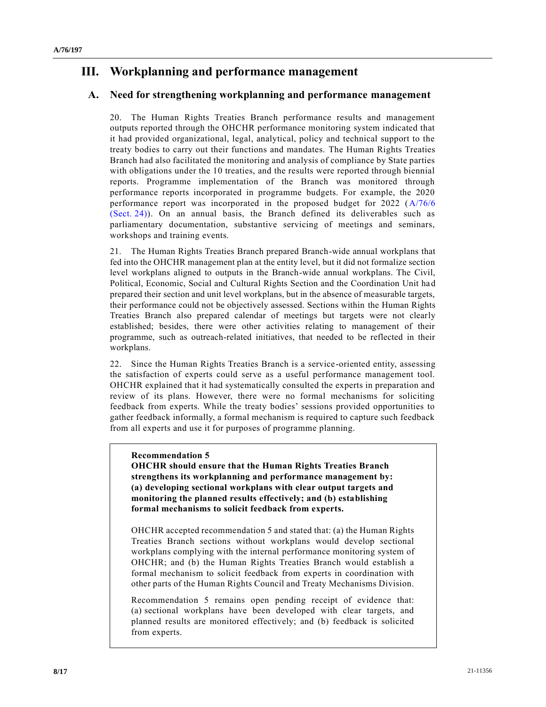# **III. Workplanning and performance management**

### **A. Need for strengthening workplanning and performance management**

20. The Human Rights Treaties Branch performance results and management outputs reported through the OHCHR performance monitoring system indicated that it had provided organizational, legal, analytical, policy and technical support to the treaty bodies to carry out their functions and mandates. The Human Rights Treaties Branch had also facilitated the monitoring and analysis of compliance by State parties with obligations under the 10 treaties, and the results were reported through biennial reports. Programme implementation of the Branch was monitored through performance reports incorporated in programme budgets. For example, the 2020 performance report was incorporated in the proposed budget for 2022 [\(A/76/6](https://undocs.org/en/A/76/6(Sect.24))  [\(Sect.](https://undocs.org/en/A/76/6(Sect.24)) 24)). On an annual basis, the Branch defined its deliverables such as parliamentary documentation, substantive servicing of meetings and seminars, workshops and training events.

21. The Human Rights Treaties Branch prepared Branch-wide annual workplans that fed into the OHCHR management plan at the entity level, but it did not formalize section level workplans aligned to outputs in the Branch-wide annual workplans. The Civil, Political, Economic, Social and Cultural Rights Section and the Coordination Unit had prepared their section and unit level workplans, but in the absence of measurable targets, their performance could not be objectively assessed. Sections within the Human Rights Treaties Branch also prepared calendar of meetings but targets were not clearly established; besides, there were other activities relating to management of their programme, such as outreach-related initiatives, that needed to be reflected in their workplans.

22. Since the Human Rights Treaties Branch is a service-oriented entity, assessing the satisfaction of experts could serve as a useful performance management tool. OHCHR explained that it had systematically consulted the experts in preparation and review of its plans. However, there were no formal mechanisms for soliciting feedback from experts. While the treaty bodies' sessions provided opportunities to gather feedback informally, a formal mechanism is required to capture such feedback from all experts and use it for purposes of programme planning.

#### **Recommendation 5**

**OHCHR should ensure that the Human Rights Treaties Branch strengthens its workplanning and performance management by: (a) developing sectional workplans with clear output targets and monitoring the planned results effectively; and (b) establishing formal mechanisms to solicit feedback from experts.**

OHCHR accepted recommendation 5 and stated that: (a) the Human Rights Treaties Branch sections without workplans would develop sectional workplans complying with the internal performance monitoring system of OHCHR; and (b) the Human Rights Treaties Branch would establish a formal mechanism to solicit feedback from experts in coordination with other parts of the Human Rights Council and Treaty Mechanisms Division.

Recommendation 5 remains open pending receipt of evidence that: (a) sectional workplans have been developed with clear targets, and planned results are monitored effectively; and (b) feedback is solicited from experts.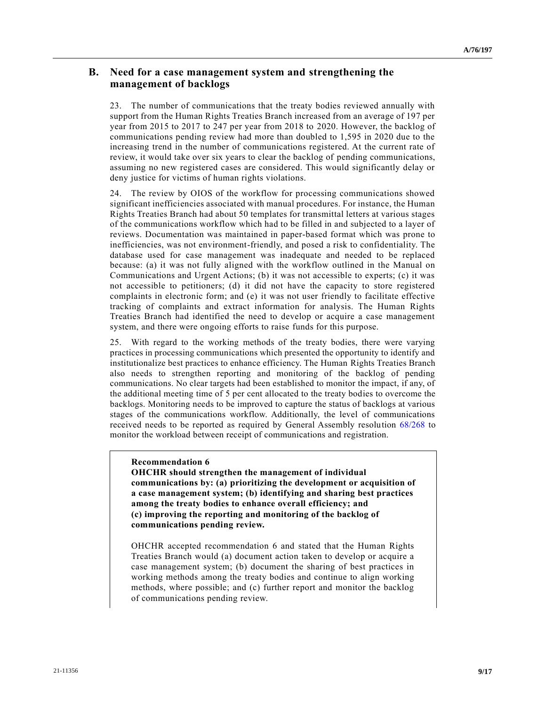### **B. Need for a case management system and strengthening the management of backlogs**

23. The number of communications that the treaty bodies reviewed annually with support from the Human Rights Treaties Branch increased from an average of 197 per year from 2015 to 2017 to 247 per year from 2018 to 2020. However, the backlog of communications pending review had more than doubled to 1,595 in 2020 due to the increasing trend in the number of communications registered. At the current rate of review, it would take over six years to clear the backlog of pending communications, assuming no new registered cases are considered. This would significantly delay or deny justice for victims of human rights violations.

24. The review by OIOS of the workflow for processing communications showed significant inefficiencies associated with manual procedures. For instance, the Human Rights Treaties Branch had about 50 templates for transmittal letters at various stages of the communications workflow which had to be filled in and subjected to a layer of reviews. Documentation was maintained in paper-based format which was prone to inefficiencies, was not environment-friendly, and posed a risk to confidentiality. The database used for case management was inadequate and needed to be replaced because: (a) it was not fully aligned with the workflow outlined in the Manual on Communications and Urgent Actions; (b) it was not accessible to experts; (c) it was not accessible to petitioners; (d) it did not have the capacity to store registered complaints in electronic form; and (e) it was not user friendly to facilitate effective tracking of complaints and extract information for analysis. The Human Rights Treaties Branch had identified the need to develop or acquire a case management system, and there were ongoing efforts to raise funds for this purpose.

25. With regard to the working methods of the treaty bodies, there were varying practices in processing communications which presented the opportunity to identify and institutionalize best practices to enhance efficiency. The Human Rights Treaties Branch also needs to strengthen reporting and monitoring of the backlog of pending communications. No clear targets had been established to monitor the impact, if any, of the additional meeting time of 5 per cent allocated to the treaty bodies to overcome the backlogs. Monitoring needs to be improved to capture the status of backlogs at various stages of the communications workflow. Additionally, the level of communications received needs to be reported as required by General Assembly resolution [68/268](https://undocs.org/en/A/RES/68/268) to monitor the workload between receipt of communications and registration.

#### **Recommendation 6**

**OHCHR should strengthen the management of individual communications by: (a) prioritizing the development or acquisition of a case management system; (b) identifying and sharing best practices among the treaty bodies to enhance overall efficiency; and (c) improving the reporting and monitoring of the backlog of communications pending review.**

OHCHR accepted recommendation 6 and stated that the Human Rights Treaties Branch would (a) document action taken to develop or acquire a case management system; (b) document the sharing of best practices in working methods among the treaty bodies and continue to align working methods, where possible; and (c) further report and monitor the backlog of communications pending review.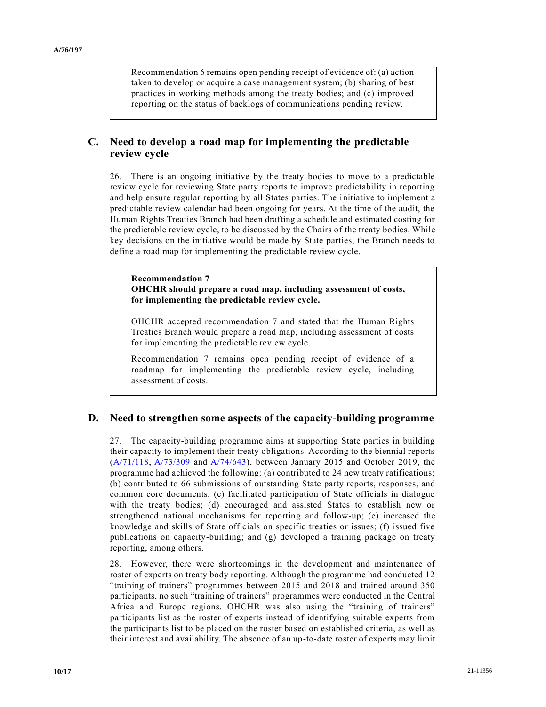Recommendation 6 remains open pending receipt of evidence of: (a) action taken to develop or acquire a case management system; (b) sharing of best practices in working methods among the treaty bodies; and (c) improved reporting on the status of backlogs of communications pending review.

### **C. Need to develop a road map for implementing the predictable review cycle**

26. There is an ongoing initiative by the treaty bodies to move to a predictable review cycle for reviewing State party reports to improve predictability in reporting and help ensure regular reporting by all States parties. The initiative to implement a predictable review calendar had been ongoing for years. At the time of the audit, the Human Rights Treaties Branch had been drafting a schedule and estimated costing for the predictable review cycle, to be discussed by the Chairs of the treaty bodies. While key decisions on the initiative would be made by State parties, the Branch needs to define a road map for implementing the predictable review cycle.

**Recommendation 7 OHCHR should prepare a road map, including assessment of costs, for implementing the predictable review cycle.**

OHCHR accepted recommendation 7 and stated that the Human Rights Treaties Branch would prepare a road map, including assessment of costs for implementing the predictable review cycle.

Recommendation 7 remains open pending receipt of evidence of a roadmap for implementing the predictable review cycle, including assessment of costs.

### **D. Need to strengthen some aspects of the capacity-building programme**

27. The capacity-building programme aims at supporting State parties in building their capacity to implement their treaty obligations. According to the biennial reports [\(A/71/118,](https://undocs.org/en/A/71/118) [A/73/309](https://undocs.org/en/A/73/309) and [A/74/643\)](https://undocs.org/en/A/74/643), between January 2015 and October 2019, the programme had achieved the following: (a) contributed to 24 new treaty ratifications; (b) contributed to 66 submissions of outstanding State party reports, responses, and common core documents; (c) facilitated participation of State officials in dialogue with the treaty bodies; (d) encouraged and assisted States to establish new or strengthened national mechanisms for reporting and follow-up; (e) increased the knowledge and skills of State officials on specific treaties or issues; (f) issued five publications on capacity-building; and (g) developed a training package on treaty reporting, among others.

28. However, there were shortcomings in the development and maintenance of roster of experts on treaty body reporting. Although the programme had conducted 12 "training of trainers" programmes between 2015 and 2018 and trained around 350 participants, no such "training of trainers" programmes were conducted in the Central Africa and Europe regions. OHCHR was also using the "training of trainers" participants list as the roster of experts instead of identifying suitable experts from the participants list to be placed on the roster based on established criteria, as well as their interest and availability. The absence of an up-to-date roster of experts may limit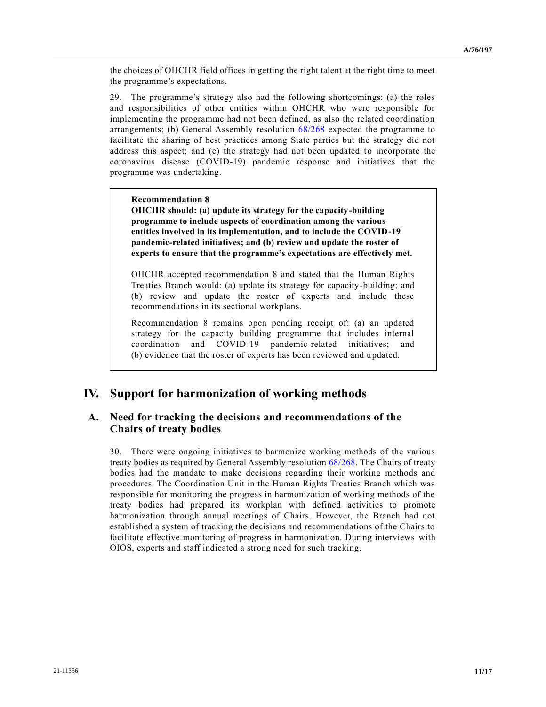the choices of OHCHR field offices in getting the right talent at the right time to meet the programme's expectations.

29. The programme's strategy also had the following shortcomings: (a) the roles and responsibilities of other entities within OHCHR who were responsible for implementing the programme had not been defined, as also the related coordination arrangements; (b) General Assembly resolution [68/268](https://undocs.org/en/A/RES/68/268) expected the programme to facilitate the sharing of best practices among State parties but the strategy did not address this aspect; and (c) the strategy had not been updated to incorporate the coronavirus disease (COVID-19) pandemic response and initiatives that the programme was undertaking.

**Recommendation 8**

**OHCHR should: (a) update its strategy for the capacity-building programme to include aspects of coordination among the various entities involved in its implementation, and to include the COVID-19 pandemic-related initiatives; and (b) review and update the roster of experts to ensure that the programme's expectations are effectively met.**

OHCHR accepted recommendation 8 and stated that the Human Rights Treaties Branch would: (a) update its strategy for capacity-building; and (b) review and update the roster of experts and include these recommendations in its sectional workplans.

Recommendation 8 remains open pending receipt of: (a) an updated strategy for the capacity building programme that includes internal coordination and COVID-19 pandemic-related initiatives; and (b) evidence that the roster of experts has been reviewed and updated.

# **IV. Support for harmonization of working methods**

### **A. Need for tracking the decisions and recommendations of the Chairs of treaty bodies**

30. There were ongoing initiatives to harmonize working methods of the various treaty bodies as required by General Assembly resolution [68/268.](https://undocs.org/en/A/RES/68/268) The Chairs of treaty bodies had the mandate to make decisions regarding their working methods and procedures. The Coordination Unit in the Human Rights Treaties Branch which was responsible for monitoring the progress in harmonization of working methods of the treaty bodies had prepared its workplan with defined activities to promote harmonization through annual meetings of Chairs. However, the Branch had not established a system of tracking the decisions and recommendations of the Chairs to facilitate effective monitoring of progress in harmonization. During interviews with OIOS, experts and staff indicated a strong need for such tracking.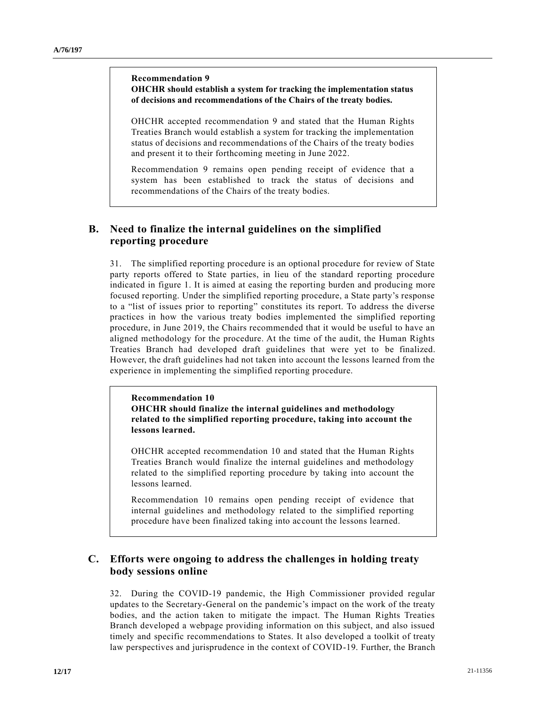#### **Recommendation 9 OHCHR should establish a system for tracking the implementation status of decisions and recommendations of the Chairs of the treaty bodies.**

OHCHR accepted recommendation 9 and stated that the Human Rights Treaties Branch would establish a system for tracking the implementation status of decisions and recommendations of the Chairs of the treaty bodies and present it to their forthcoming meeting in June 2022.

Recommendation 9 remains open pending receipt of evidence that a system has been established to track the status of decisions and recommendations of the Chairs of the treaty bodies.

## **B. Need to finalize the internal guidelines on the simplified reporting procedure**

31. The simplified reporting procedure is an optional procedure for review of State party reports offered to State parties, in lieu of the standard reporting procedure indicated in figure 1. It is aimed at easing the reporting burden and producing more focused reporting. Under the simplified reporting procedure, a State party's response to a "list of issues prior to reporting" constitutes its report. To address the diverse practices in how the various treaty bodies implemented the simplified reporting procedure, in June 2019, the Chairs recommended that it would be useful to have an aligned methodology for the procedure. At the time of the audit, the Human Rights Treaties Branch had developed draft guidelines that were yet to be finalized. However, the draft guidelines had not taken into account the lessons learned from the experience in implementing the simplified reporting procedure.

#### **Recommendation 10 OHCHR should finalize the internal guidelines and methodology related to the simplified reporting procedure, taking into account the lessons learned.**

OHCHR accepted recommendation 10 and stated that the Human Rights Treaties Branch would finalize the internal guidelines and methodology related to the simplified reporting procedure by taking into account the lessons learned.

Recommendation 10 remains open pending receipt of evidence that internal guidelines and methodology related to the simplified reporting procedure have been finalized taking into account the lessons learned.

### **C. Efforts were ongoing to address the challenges in holding treaty body sessions online**

32. During the COVID-19 pandemic, the High Commissioner provided regular updates to the Secretary-General on the pandemic's impact on the work of the treaty bodies, and the action taken to mitigate the impact. The Human Rights Treaties Branch developed a webpage providing information on this subject, and also issued timely and specific recommendations to States. It also developed a toolkit of treaty law perspectives and jurisprudence in the context of COVID-19. Further, the Branch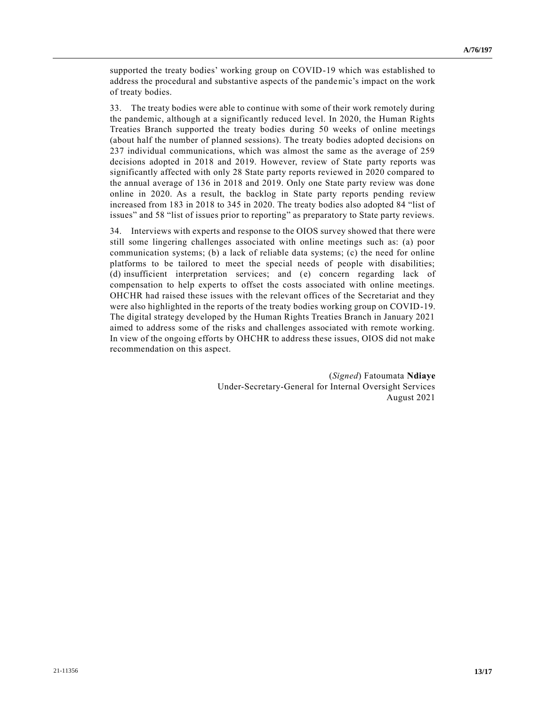supported the treaty bodies' working group on COVID-19 which was established to address the procedural and substantive aspects of the pandemic's impact on the work of treaty bodies.

33. The treaty bodies were able to continue with some of their work remotely during the pandemic, although at a significantly reduced level. In 2020, the Human Rights Treaties Branch supported the treaty bodies during 50 weeks of online meetings (about half the number of planned sessions). The treaty bodies adopted decisions on 237 individual communications, which was almost the same as the average of 259 decisions adopted in 2018 and 2019. However, review of State party reports was significantly affected with only 28 State party reports reviewed in 2020 compared to the annual average of 136 in 2018 and 2019. Only one State party review was done online in 2020. As a result, the backlog in State party reports pending review increased from 183 in 2018 to 345 in 2020. The treaty bodies also adopted 84 "list of issues" and 58 "list of issues prior to reporting" as preparatory to State party reviews.

34. Interviews with experts and response to the OIOS survey showed that there were still some lingering challenges associated with online meetings such as: (a) poor communication systems; (b) a lack of reliable data systems; (c) the need for online platforms to be tailored to meet the special needs of people with disabilities; (d) insufficient interpretation services; and (e) concern regarding lack of compensation to help experts to offset the costs associated with online meetings. OHCHR had raised these issues with the relevant offices of the Secretariat and they were also highlighted in the reports of the treaty bodies working group on COVID-19. The digital strategy developed by the Human Rights Treaties Branch in January 2021 aimed to address some of the risks and challenges associated with remote working. In view of the ongoing efforts by OHCHR to address these issues, OIOS did not make recommendation on this aspect.

> (*Signed*) Fatoumata **Ndiaye** Under-Secretary-General for Internal Oversight Services August 2021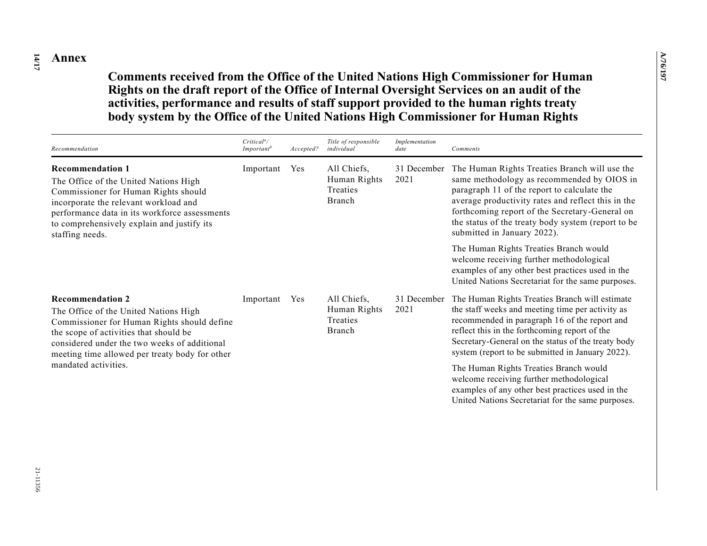**14 /17 Annex**

**Comments received from the Office of the United Nations High Commissioner for Human Rights on the draft report of the Office of Internal Oversight Services on an audit of the activities, performance and results of staff support provided to the human rights treaty body system by the Office of the United Nations High Commissioner for Human Rights**

| Recommendation                                                                                                                                                                                                                                                      | Critical <sup>a</sup> /<br>Important <sup>b</sup> | Accepted? | Title of responsible<br>individual                | Implementation<br>date | Comments                                                                                                                                                                                                                                                                                                                                |
|---------------------------------------------------------------------------------------------------------------------------------------------------------------------------------------------------------------------------------------------------------------------|---------------------------------------------------|-----------|---------------------------------------------------|------------------------|-----------------------------------------------------------------------------------------------------------------------------------------------------------------------------------------------------------------------------------------------------------------------------------------------------------------------------------------|
| <b>Recommendation 1</b><br>The Office of the United Nations High<br>Commissioner for Human Rights should<br>incorporate the relevant workload and<br>performance data in its workforce assessments<br>to comprehensively explain and justify its<br>staffing needs. | Important                                         | Yes       | All Chiefs,<br>Human Rights<br>Treaties<br>Branch | 31 December<br>2021    | The Human Rights Treaties Branch will use the<br>same methodology as recommended by OIOS in<br>paragraph 11 of the report to calculate the<br>average productivity rates and reflect this in the<br>forthcoming report of the Secretary-General on<br>the status of the treaty body system (report to be<br>submitted in January 2022). |
|                                                                                                                                                                                                                                                                     |                                                   |           |                                                   |                        | The Human Rights Treaties Branch would<br>welcome receiving further methodological<br>examples of any other best practices used in the<br>United Nations Secretariat for the same purposes.                                                                                                                                             |
| <b>Recommendation 2</b><br>The Office of the United Nations High<br>Commissioner for Human Rights should define<br>the scope of activities that should be<br>considered under the two weeks of additional<br>meeting time allowed per treaty body for other         | Important                                         | Yes       | All Chiefs,<br>Human Rights<br>Treaties<br>Branch | 31 December<br>2021    | The Human Rights Treaties Branch will estimate<br>the staff weeks and meeting time per activity as<br>recommended in paragraph 16 of the report and<br>reflect this in the forthcoming report of the<br>Secretary-General on the status of the treaty body<br>system (report to be submitted in January 2022).                          |
| mandated activities.                                                                                                                                                                                                                                                |                                                   |           |                                                   |                        | The Human Rights Treaties Branch would<br>welcome receiving further methodological<br>examples of any other best practices used in the<br>United Nations Secretariat for the same purposes.                                                                                                                                             |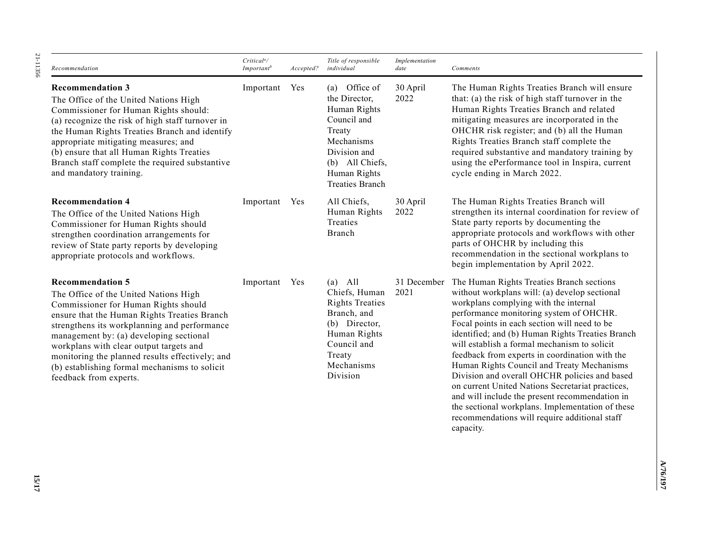*Recommendation* **Recommendation 3**

**Recommendation 5**

The Office of the United Nations High Commissioner for Human Rights should: (a) recognize the risk of high staff turnover in the Human Rights Treaties Branch and identify appropriate mitigating measures; and (b) ensure that all Human Rights Treaties Branch staff complete the required substantive and mandatory training. Important Yes (a) Office of

*Critical<sup>a</sup> /* 

*Important<sup>b</sup> Accepted?* 

Important Yes All Chiefs,

**Recommendation 4** The Office of the United Nations High Commissioner for Human Rights should strengthen coordination arrangements for review of State party reports by developing appropriate protocols and workflows.

The Office of the United Nations High Commissioner for Human Rights should ensure that the Human Rights Treaties Branch strengthens its workplanning and performance management by: (a) developing sectional workplans with clear output targets and monitoring the planned results effectively; and (b) establishing formal mechanisms to solicit feedback from experts.

Important Yes (a) All Chiefs, Human Rights Treaties Branch, and (b) Director, Human Rights Council and Treaty Mechanisms Division 2021

*Title of responsible individual*

the Director, Human Rights Council and Treaty Mechanisms Division and (b) All Chiefs, Human Rights Treaties Branch

Human Rights Treaties Branch

*Implementation* 

30 April 2022

30 April 2022

*date Comments*

The Human Rights Treaties Branch will ensure that: (a) the risk of high staff turnover in the Human Rights Treaties Branch and related mitigating measures are incorporated in the OHCHR risk register; and (b) all the Human Rights Treaties Branch staff complete the required substantive and mandatory training by using the ePerformance tool in Inspira, current cycle ending in March 2022.

The Human Rights Treaties Branch will strengthen its internal coordination for review of State party reports by documenting the appropriate protocols and workflows with other parts of OHCHR by including this recommendation in the sectional workplans to begin implementation by April 2022.

31 December The Human Rights Treaties Branch sections without workplans will: (a) develop sectional workplans complying with the internal performance monitoring system of OHCHR. Focal points in each section will need to be identified; and (b) Human Rights Treaties Branch will establish a formal mechanism to solicit feedback from experts in coordination with the Human Rights Council and Treaty Mechanisms Division and overall OHCHR policies and based on current United Nations Secretariat practices, and will include the present recommendation in the sectional workplans. Implementation of these recommendations will require additional staff capacity.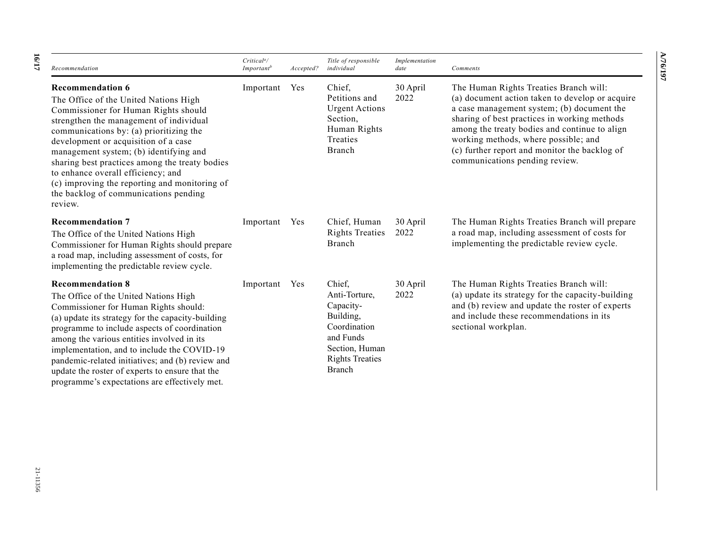| Recommendation                                                                                                                                                                                                                                                                                                                                                                                                                                                                | Critical <sup>a</sup> /<br>Important <sup>b</sup> | Accepted? | Title of responsible<br>individual                                                                                                   | Implementation<br>date | Comments                                                                                                                                                                                                                                                                                                                                                            |
|-------------------------------------------------------------------------------------------------------------------------------------------------------------------------------------------------------------------------------------------------------------------------------------------------------------------------------------------------------------------------------------------------------------------------------------------------------------------------------|---------------------------------------------------|-----------|--------------------------------------------------------------------------------------------------------------------------------------|------------------------|---------------------------------------------------------------------------------------------------------------------------------------------------------------------------------------------------------------------------------------------------------------------------------------------------------------------------------------------------------------------|
| <b>Recommendation 6</b><br>The Office of the United Nations High<br>Commissioner for Human Rights should<br>strengthen the management of individual<br>communications by: (a) prioritizing the<br>development or acquisition of a case<br>management system; (b) identifying and<br>sharing best practices among the treaty bodies<br>to enhance overall efficiency; and<br>(c) improving the reporting and monitoring of<br>the backlog of communications pending<br>review. | Important                                         | Yes       | Chief,<br>Petitions and<br><b>Urgent Actions</b><br>Section,<br>Human Rights<br>Treaties<br>Branch                                   | 30 April<br>2022       | The Human Rights Treaties Branch will:<br>(a) document action taken to develop or acquire<br>a case management system; (b) document the<br>sharing of best practices in working methods<br>among the treaty bodies and continue to align<br>working methods, where possible; and<br>(c) further report and monitor the backlog of<br>communications pending review. |
| <b>Recommendation 7</b><br>The Office of the United Nations High<br>Commissioner for Human Rights should prepare<br>a road map, including assessment of costs, for<br>implementing the predictable review cycle.                                                                                                                                                                                                                                                              | Important                                         | Yes       | Chief, Human<br><b>Rights Treaties</b><br>Branch                                                                                     | 30 April<br>2022       | The Human Rights Treaties Branch will prepare<br>a road map, including assessment of costs for<br>implementing the predictable review cycle.                                                                                                                                                                                                                        |
| <b>Recommendation 8</b><br>The Office of the United Nations High<br>Commissioner for Human Rights should:<br>(a) update its strategy for the capacity-building<br>programme to include aspects of coordination<br>among the various entities involved in its<br>implementation, and to include the COVID-19<br>pandemic-related initiatives; and (b) review and<br>update the roster of experts to ensure that the<br>programme's expectations are effectively met.           | Important                                         | Yes       | Chief,<br>Anti-Torture,<br>Capacity-<br>Building,<br>Coordination<br>and Funds<br>Section, Human<br><b>Rights Treaties</b><br>Branch | 30 April<br>2022       | The Human Rights Treaties Branch will:<br>(a) update its strategy for the capacity-building<br>and (b) review and update the roster of experts<br>and include these recommendations in its<br>sectional workplan.                                                                                                                                                   |

**A/76/197**

V76/197

**16 /17**